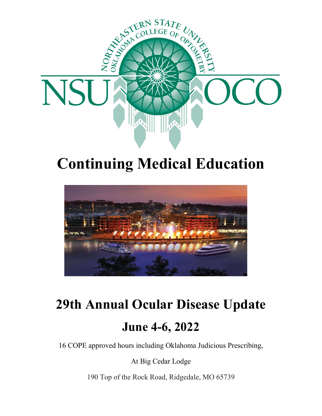

## **Continuing Medical Education**



# **29th Annual Ocular Disease Update June 4-6, 2022**

16 COPE approved hours including Oklahoma Judicious Prescribing,

At Big Cedar Lodge

190 Top of the Rock Road, Ridgedale, MO 65739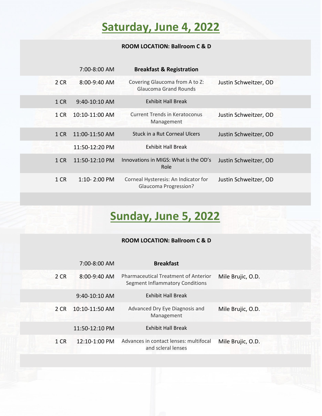### **Saturday, June 4, 2022**

#### **ROOM LOCATION: Ballroom C & D**

|      | 7:00-8:00 AM     | <b>Breakfast &amp; Registration</b>                                  |                       |
|------|------------------|----------------------------------------------------------------------|-----------------------|
| 2 CR | 8:00-9:40 AM     | Covering Glaucoma from A to Z:<br><b>Glaucoma Grand Rounds</b>       | Justin Schweitzer, OD |
| 1 CR | $9:40-10:10$ AM  | <b>Exhibit Hall Break</b>                                            |                       |
| 1 CR | 10:10-11:00 AM   | Current Trends in Keratoconus<br>Management                          | Justin Schweitzer, OD |
| 1 CR | 11:00-11:50 AM   | Stuck in a Rut Corneal Ulcers                                        | Justin Schweitzer, OD |
|      | 11:50-12:20 PM   | <b>Exhibit Hall Break</b>                                            |                       |
| 1 CR | 11:50-12:10 PM   | Innovations in MIGS: What is the OD's<br>Role                        | Justin Schweitzer, OD |
| 1 CR | $1:10 - 2:00$ PM | Corneal Hysteresis: An Indicator for<br><b>Glaucoma Progression?</b> | Justin Schweitzer, OD |

### **Sunday, June 5, 2022**

#### **ROOM LOCATION: Ballroom C & D**

|      | 7:00-8:00 AM    | <b>Breakfast</b>                                                               |                   |
|------|-----------------|--------------------------------------------------------------------------------|-------------------|
| 2 CR | 8:00-9:40 AM    | <b>Pharmaceutical Treatment of Anterior</b><br>Segment Inflammatory Conditions | Mile Brujic, O.D. |
|      | $9:40-10:10$ AM | <b>Exhibit Hall Break</b>                                                      |                   |
| 2 CR | 10:10-11:50 AM  | Advanced Dry Eye Diagnosis and<br>Management                                   | Mile Brujic, O.D. |
|      | 11:50-12:10 PM  | <b>Exhibit Hall Break</b>                                                      |                   |
| 1 CR | 12:10-1:00 PM   | Advances in contact lenses: multifocal<br>and scleral lenses                   | Mile Brujic, O.D. |